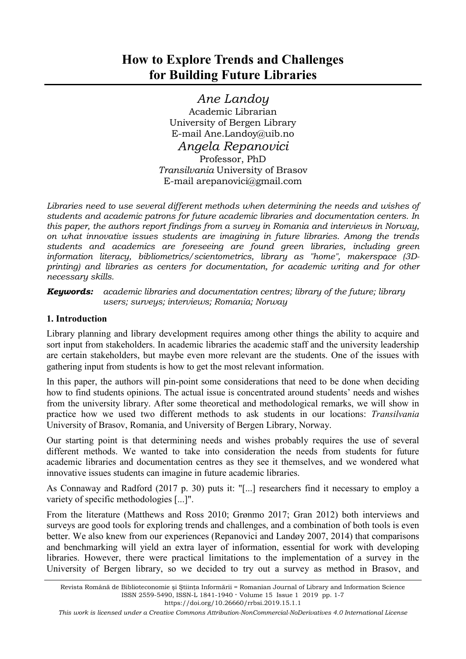*Ane Landoy* Academic Librarian University of Bergen Library E-mail Ane.Landoy@uib.no

*Angela Repanovici*  Professor, PhD *Transilvania* University of Brasov E-mail arepanovici@gmail.com

*Libraries need to use several different methods when determining the needs and wishes of students and academic patrons for future academic libraries and documentation centers. In this paper, the authors report findings from a survey in Romania and interviews in Norway, on what innovative issues students are imagining in future libraries. Among the trends students and academics are foreseeing are found green libraries, including green information literacy, bibliometrics/scientometrics, library as "home", makerspace (3Dprinting) and libraries as centers for documentation, for academic writing and for other necessary skills.* 

*Keywords: academic libraries and documentation centres; library of the future; library users; surveys; interviews; Romania; Norway* 

# **1. Introduction**

Library planning and library development requires among other things the ability to acquire and sort input from stakeholders. In academic libraries the academic staff and the university leadership are certain stakeholders, but maybe even more relevant are the students. One of the issues with gathering input from students is how to get the most relevant information.

In this paper, the authors will pin-point some considerations that need to be done when deciding how to find students opinions. The actual issue is concentrated around students' needs and wishes from the university library. After some theoretical and methodological remarks, we will show in practice how we used two different methods to ask students in our locations: *Transilvania* University of Brasov, Romania, and University of Bergen Library, Norway.

Our starting point is that determining needs and wishes probably requires the use of several different methods. We wanted to take into consideration the needs from students for future academic libraries and documentation centres as they see it themselves, and we wondered what innovative issues students can imagine in future academic libraries.

As Connaway and Radford (2017 p. 30) puts it: "[...] researchers find it necessary to employ a variety of specific methodologies [...]".

From the literature (Matthews and Ross 2010; Grønmo 2017; Gran 2012) both interviews and surveys are good tools for exploring trends and challenges, and a combination of both tools is even better. We also knew from our experiences (Repanovici and Landøy 2007, 2014) that comparisons and benchmarking will yield an extra layer of information, essential for work with developing libraries. However, there were practical limitations to the implementation of a survey in the University of Bergen library, so we decided to try out a survey as method in Brasov, and

https://doi.org/10.26660/rrbsi.2019.15.1.1

*This work is licensed under a Creative Commons Attribution-NonCommercial-NoDerivatives 4.0 International License* 

Revista Română de Biblioteconomie şi Ştiinţa Informării = Romanian Journal of Library and Information Science ISSN 2559-5490, ISSN-L 1841-1940 **·** Volume 15 Issue 1 2019 pp. 1-7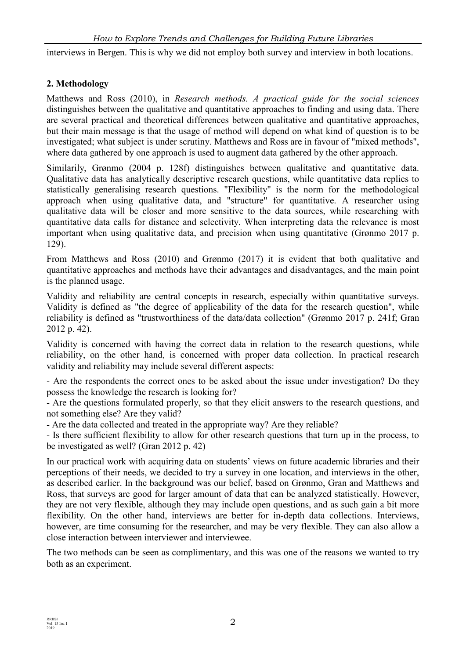interviews in Bergen. This is why we did not employ both survey and interview in both locations.

## **2. Methodology**

Matthews and Ross (2010), in *Research methods. A practical guide for the social sciences* distinguishes between the qualitative and quantitative approaches to finding and using data. There are several practical and theoretical differences between qualitative and quantitative approaches, but their main message is that the usage of method will depend on what kind of question is to be investigated; what subject is under scrutiny. Matthews and Ross are in favour of "mixed methods", where data gathered by one approach is used to augment data gathered by the other approach.

Similarily, Grønmo (2004 p. 128f) distinguishes between qualitative and quantitative data. Qualitative data has analytically descriptive research questions, while quantitative data replies to statistically generalising research questions. "Flexibility" is the norm for the methodological approach when using qualitative data, and "structure" for quantitative. A researcher using qualitative data will be closer and more sensitive to the data sources, while researching with quantitative data calls for distance and selectivity. When interpreting data the relevance is most important when using qualitative data, and precision when using quantitative (Grønmo 2017 p. 129).

From Matthews and Ross (2010) and Grønmo (2017) it is evident that both qualitative and quantitative approaches and methods have their advantages and disadvantages, and the main point is the planned usage.

Validity and reliability are central concepts in research, especially within quantitative surveys. Validity is defined as "the degree of applicability of the data for the research question", while reliability is defined as "trustworthiness of the data/data collection" (Grønmo 2017 p. 241f; Gran 2012 p. 42).

Validity is concerned with having the correct data in relation to the research questions, while reliability, on the other hand, is concerned with proper data collection. In practical research validity and reliability may include several different aspects:

- Are the respondents the correct ones to be asked about the issue under investigation? Do they possess the knowledge the research is looking for?

- Are the questions formulated properly, so that they elicit answers to the research questions, and not something else? Are they valid?

- Are the data collected and treated in the appropriate way? Are they reliable?

- Is there sufficient flexibility to allow for other research questions that turn up in the process, to be investigated as well? (Gran 2012 p. 42)

In our practical work with acquiring data on students' views on future academic libraries and their perceptions of their needs, we decided to try a survey in one location, and interviews in the other, as described earlier. In the background was our belief, based on Grønmo, Gran and Matthews and Ross, that surveys are good for larger amount of data that can be analyzed statistically. However, they are not very flexible, although they may include open questions, and as such gain a bit more flexibility. On the other hand, interviews are better for in-depth data collections. Interviews, however, are time consuming for the researcher, and may be very flexible. They can also allow a close interaction between interviewer and interviewee.

The two methods can be seen as complimentary, and this was one of the reasons we wanted to try both as an experiment.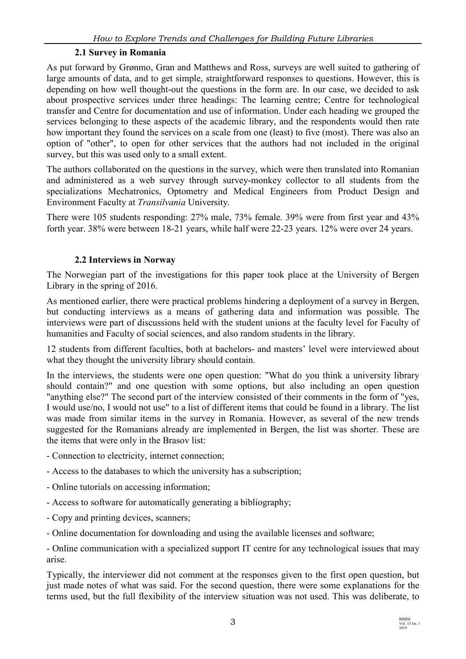## **2.1 Survey in Romania**

As put forward by Grønmo, Gran and Matthews and Ross, surveys are well suited to gathering of large amounts of data, and to get simple, straightforward responses to questions. However, this is depending on how well thought-out the questions in the form are. In our case, we decided to ask about prospective services under three headings: The learning centre; Centre for technological transfer and Centre for documentation and use of information. Under each heading we grouped the services belonging to these aspects of the academic library, and the respondents would then rate how important they found the services on a scale from one (least) to five (most). There was also an option of "other", to open for other services that the authors had not included in the original survey, but this was used only to a small extent.

The authors collaborated on the questions in the survey, which were then translated into Romanian and administered as a web survey through survey-monkey collector to all students from the specializations Mechatronics, Optometry and Medical Engineers from Product Design and Environment Faculty at *Transilvania* University.

There were 105 students responding: 27% male, 73% female. 39% were from first year and 43% forth year. 38% were between 18-21 years, while half were 22-23 years. 12% were over 24 years.

### **2.2 Interviews in Norway**

The Norwegian part of the investigations for this paper took place at the University of Bergen Library in the spring of 2016.

As mentioned earlier, there were practical problems hindering a deployment of a survey in Bergen, but conducting interviews as a means of gathering data and information was possible. The interviews were part of discussions held with the student unions at the faculty level for Faculty of humanities and Faculty of social sciences, and also random students in the library.

12 students from different faculties, both at bachelors- and masters' level were interviewed about what they thought the university library should contain.

In the interviews, the students were one open question: "What do you think a university library should contain?" and one question with some options, but also including an open question "anything else?" The second part of the interview consisted of their comments in the form of "yes, I would use/no, I would not use" to a list of different items that could be found in a library. The list was made from similar items in the survey in Romania. However, as several of the new trends suggested for the Romanians already are implemented in Bergen, the list was shorter. These are the items that were only in the Brasov list:

- Connection to electricity, internet connection;
- Access to the databases to which the university has a subscription;
- Online tutorials on accessing information;
- Access to software for automatically generating a bibliography;
- Copy and printing devices, scanners;
- Online documentation for downloading and using the available licenses and software;

- Online communication with a specialized support IT centre for any technological issues that may arise.

Typically, the interviewer did not comment at the responses given to the first open question, but just made notes of what was said. For the second question, there were some explanations for the terms used, but the full flexibility of the interview situation was not used. This was deliberate, to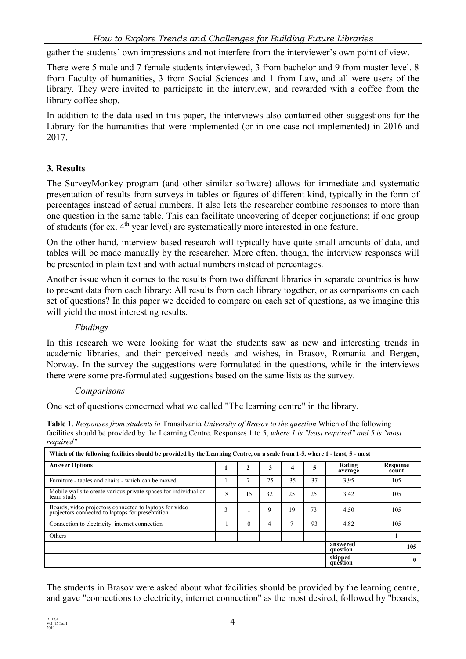gather the students' own impressions and not interfere from the interviewer's own point of view.

There were 5 male and 7 female students interviewed, 3 from bachelor and 9 from master level. 8 from Faculty of humanities, 3 from Social Sciences and 1 from Law, and all were users of the library. They were invited to participate in the interview, and rewarded with a coffee from the library coffee shop.

In addition to the data used in this paper, the interviews also contained other suggestions for the Library for the humanities that were implemented (or in one case not implemented) in 2016 and 2017.

# **3. Results**

The SurveyMonkey program (and other similar software) allows for immediate and systematic presentation of results from surveys in tables or figures of different kind, typically in the form of percentages instead of actual numbers. It also lets the researcher combine responses to more than one question in the same table. This can facilitate uncovering of deeper conjunctions; if one group of students (for ex. 4<sup>th</sup> year level) are systematically more interested in one feature.

On the other hand, interview-based research will typically have quite small amounts of data, and tables will be made manually by the researcher. More often, though, the interview responses will be presented in plain text and with actual numbers instead of percentages.

Another issue when it comes to the results from two different libraries in separate countries is how to present data from each library: All results from each library together, or as comparisons on each set of questions? In this paper we decided to compare on each set of questions, as we imagine this will yield the most interesting results.

## *Findings*

In this research we were looking for what the students saw as new and interesting trends in academic libraries, and their perceived needs and wishes, in Brasov, Romania and Bergen, Norway. In the survey the suggestions were formulated in the questions, while in the interviews there were some pre-formulated suggestions based on the same lists as the survey.

#### *Comparisons*

One set of questions concerned what we called "The learning centre" in the library.

**Table 1**. *Responses from students in* Transilvania *University of Brasov to the question* Which of the following facilities should be provided by the Learning Centre. Responses 1 to 5, *where 1 is "least required" and 5 is "most required"* 

| Which of the following facilities should be provided by the Learning Centre, on a scale from 1-5, where 1 - least, 5 - most |                      |          |    |    |    |                   |                   |
|-----------------------------------------------------------------------------------------------------------------------------|----------------------|----------|----|----|----|-------------------|-------------------|
| <b>Answer Options</b>                                                                                                       |                      | 2        | 3  | 4  | 5  | Rating<br>average | Response<br>count |
| Furniture - tables and chairs - which can be moved                                                                          |                      |          | 25 | 35 | 37 | 3,95              | 105               |
| Mobile walls to create various private spaces for individual or<br>team study                                               | 8                    | 15       | 32 | 25 | 25 | 3,42              | 105               |
| Boards, video projectors connected to laptops for video<br>projectors connected to laptops for presentation                 | 3                    |          | 9  | 19 | 73 | 4,50              | 105               |
| Connection to electricity, internet connection                                                                              |                      | $\theta$ | 4  | n, | 93 | 4,82              | 105               |
| Others                                                                                                                      |                      |          |    |    |    |                   |                   |
|                                                                                                                             | answered<br>question | 105      |    |    |    |                   |                   |
|                                                                                                                             | skipped<br>question  | 0        |    |    |    |                   |                   |

The students in Brasov were asked about what facilities should be provided by the learning centre, and gave "connections to electricity, internet connection" as the most desired, followed by "boards,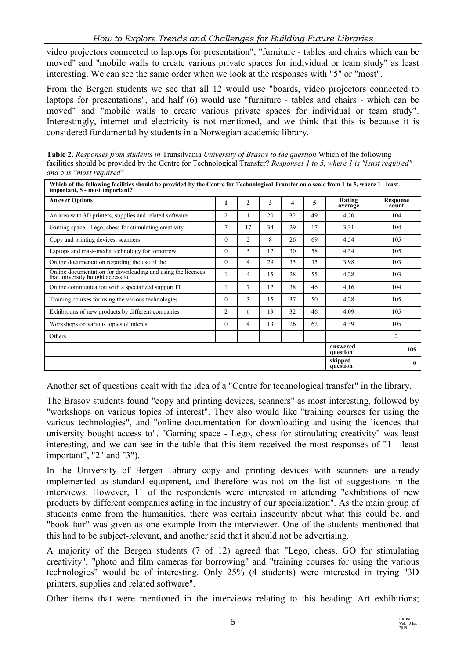video projectors connected to laptops for presentation", "furniture - tables and chairs which can be moved" and "mobile walls to create various private spaces for individual or team study" as least interesting. We can see the same order when we look at the responses with "5" or "most".

From the Bergen students we see that all 12 would use "boards, video projectors connected to laptops for presentations", and half (6) would use "furniture - tables and chairs - which can be moved" and "mobile walls to create various private spaces for individual or team study". Interestingly, internet and electricity is not mentioned, and we think that this is because it is considered fundamental by students in a Norwegian academic library.

**Table 2**. *Responses from students in* Transilvania *University of Brasov to the question* Which of the following facilities should be provided by the Centre for Technological Transfer? *Responses 1 to 5, where 1 is "least required" and 5 is "most required"* 

| <b>Answer Options</b>                                                                           |          | $\mathbf{2}$   | 3  | 4  | 5  | Rating<br>average    | <b>Response</b><br>count |
|-------------------------------------------------------------------------------------------------|----------|----------------|----|----|----|----------------------|--------------------------|
| An area with 3D printers, supplies and related software                                         | 2        |                | 20 | 32 | 49 | 4,20                 | 104                      |
| Gaming space - Lego, chess for stimulating creativity                                           |          | 17             | 34 | 29 | 17 | 3,31                 | 104                      |
| Copy and printing devices, scanners                                                             |          | $\overline{c}$ | 8  | 26 | 69 | 4,54                 | 105                      |
| Laptops and mass-media technology for tomorrow                                                  |          | 5              | 12 | 30 | 58 | 4,34                 | 105                      |
| Online documentation regarding the use of the                                                   |          | 4              | 29 | 35 | 35 | 3,98                 | 103                      |
| Online documentation for downloading and using the licences<br>that university bought access to |          | $\overline{4}$ | 15 | 28 | 55 | 4,28                 | 103                      |
| Online communication with a specialized support IT                                              |          | $\overline{7}$ | 12 | 38 | 46 | 4,16                 | 104                      |
| Training courses for using the various technologies                                             | $\theta$ | 3              | 15 | 37 | 50 | 4,28                 | 105                      |
| Exhibitions of new products by different companies                                              |          | 6              | 19 | 32 | 46 | 4,09                 | 105                      |
| Workshops on various topics of interest                                                         | $\theta$ | $\overline{4}$ | 13 | 26 | 62 | 4,39                 | 105                      |
| Others                                                                                          |          |                |    |    |    |                      | 2                        |
|                                                                                                 |          |                |    |    |    | answered<br>question | 105                      |
|                                                                                                 |          |                |    |    |    | skipped<br>question  | $\bf{0}$                 |

Another set of questions dealt with the idea of a "Centre for technological transfer" in the library.

The Brasov students found "copy and printing devices, scanners" as most interesting, followed by "workshops on various topics of interest". They also would like "training courses for using the various technologies", and "online documentation for downloading and using the licences that university bought access to". "Gaming space - Lego, chess for stimulating creativity" was least interesting, and we can see in the table that this item received the most responses of "1 - least important", "2" and "3").

In the University of Bergen Library copy and printing devices with scanners are already implemented as standard equipment, and therefore was not on the list of suggestions in the interviews. However, 11 of the respondents were interested in attending "exhibitions of new products by different companies acting in the industry of our specialization". As the main group of students came from the humanities, there was certain insecurity about what this could be, and "book fair" was given as one example from the interviewer. One of the students mentioned that this had to be subject-relevant, and another said that it should not be advertising.

A majority of the Bergen students (7 of 12) agreed that "Lego, chess, GO for stimulating creativity", "photo and film cameras for borrowing" and "training courses for using the various technologies" would be of interesting. Only 25% (4 students) were interested in trying "3D printers, supplies and related software".

Other items that were mentioned in the interviews relating to this heading: Art exhibitions;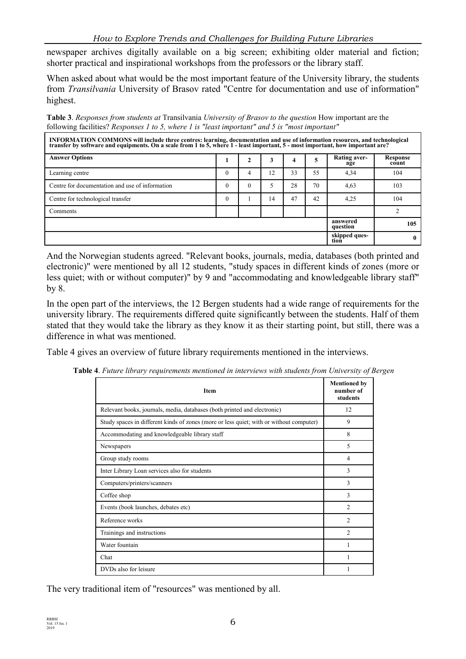newspaper archives digitally available on a big screen; exhibiting older material and fiction; shorter practical and inspirational workshops from the professors or the library staff.

When asked about what would be the most important feature of the University library, the students from *Transilvania* University of Brasov rated "Centre for documentation and use of information" highest.

**Table 3**. *Responses from students at* Transilvania *University of Brasov to the question* How important are the following facilities? *Responses 1 to 5, where 1 is "least important" and 5 is "most important"* 

| INFORMATION COMMONS will include three centres: learning, documentation and use of information resources, and technological<br>transfer by software and equipments. On a scale from 1 to 5, where 1 - least important, 5 - most i |                      |          |    |    |    |                       |                          |
|-----------------------------------------------------------------------------------------------------------------------------------------------------------------------------------------------------------------------------------|----------------------|----------|----|----|----|-----------------------|--------------------------|
| <b>Answer Options</b>                                                                                                                                                                                                             |                      |          | 3  | 4  |    | Rating aver-<br>age   | <b>Response</b><br>count |
| Learning centre                                                                                                                                                                                                                   | $\Omega$             |          | 12 | 33 | 55 | 4,34                  | 104                      |
| Centre for documentation and use of information                                                                                                                                                                                   | $\Omega$             | $\theta$ |    | 28 | 70 | 4.63                  | 103                      |
| Centre for technological transfer                                                                                                                                                                                                 | $\Omega$             |          | 14 | 47 | 42 | 4,25                  | 104                      |
| Comments                                                                                                                                                                                                                          |                      |          |    |    |    |                       |                          |
|                                                                                                                                                                                                                                   | answered<br>question | 105      |    |    |    |                       |                          |
|                                                                                                                                                                                                                                   |                      |          |    |    |    | skipped ques-<br>tion | 0                        |

And the Norwegian students agreed. "Relevant books, journals, media, databases (both printed and electronic)" were mentioned by all 12 students, "study spaces in different kinds of zones (more or less quiet; with or without computer)" by 9 and "accommodating and knowledgeable library staff" by 8.

In the open part of the interviews, the 12 Bergen students had a wide range of requirements for the university library. The requirements differed quite significantly between the students. Half of them stated that they would take the library as they know it as their starting point, but still, there was a difference in what was mentioned.

Table 4 gives an overview of future library requirements mentioned in the interviews.

|  |  |  |  |  |  | Table 4. Future library requirements mentioned in interviews with students from University of Bergen |
|--|--|--|--|--|--|------------------------------------------------------------------------------------------------------|
|--|--|--|--|--|--|------------------------------------------------------------------------------------------------------|

| <b>Item</b>                                                                             | <b>Mentioned by</b><br>number of<br>students |
|-----------------------------------------------------------------------------------------|----------------------------------------------|
| Relevant books, journals, media, databases (both printed and electronic)                | 12                                           |
| Study spaces in different kinds of zones (more or less quiet; with or without computer) | 9                                            |
| Accommodating and knowledgeable library staff                                           | 8                                            |
| Newspapers                                                                              | 5                                            |
| Group study rooms                                                                       | 4                                            |
| Inter Library Loan services also for students                                           | 3                                            |
| Computers/printers/scanners                                                             | 3                                            |
| Coffee shop                                                                             | 3                                            |
| Events (book launches, debates etc)                                                     | $\mathfrak{D}$                               |
| Reference works                                                                         | 2                                            |
| Trainings and instructions                                                              | $\overline{2}$                               |
| Water fountain                                                                          |                                              |
| Chat                                                                                    |                                              |
| DVDs also for leisure                                                                   |                                              |

The very traditional item of "resources" was mentioned by all.